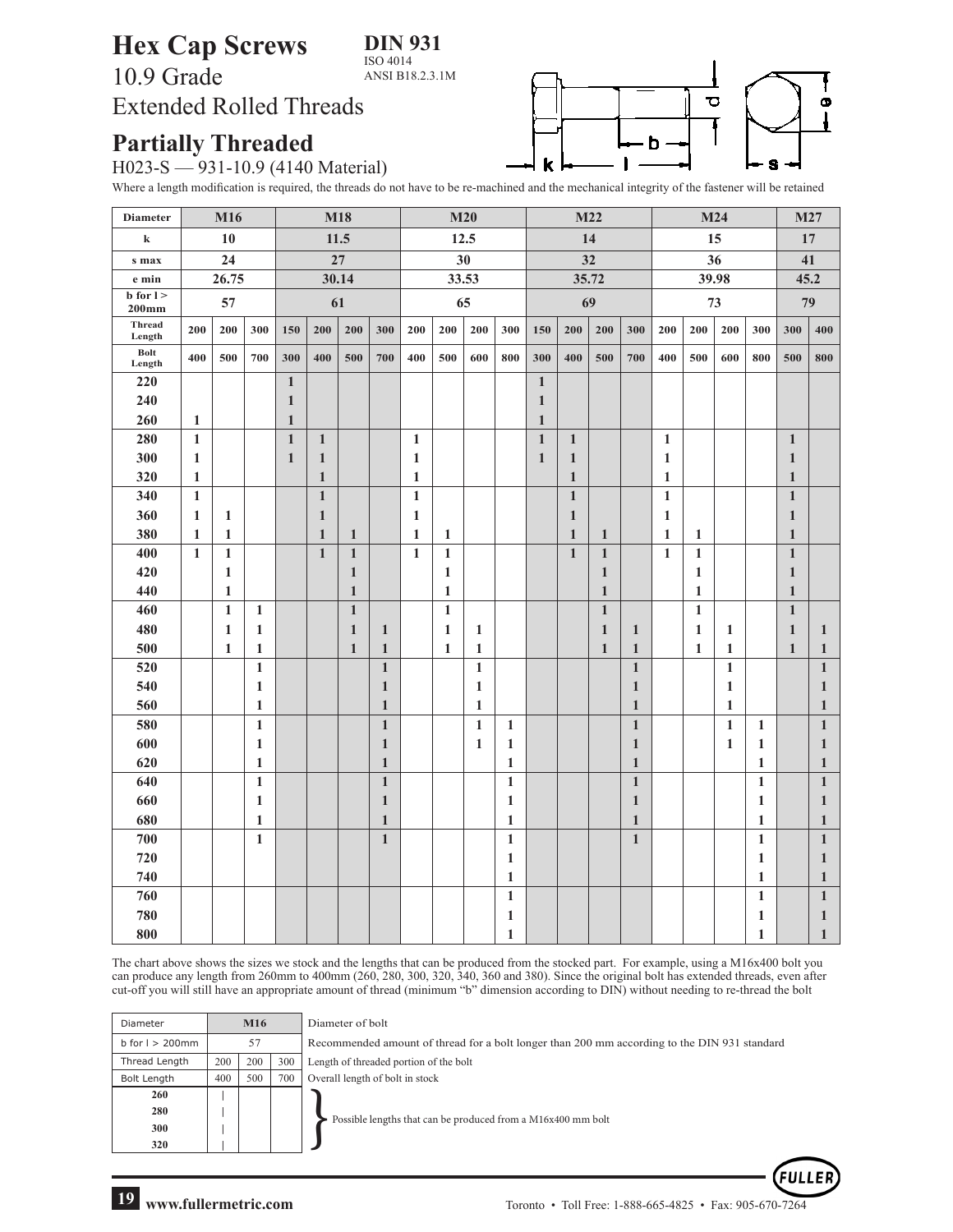**DIN 931**

ISO 4014 ANSI B18.2.3.1M

## **Hex Cap Screws** 10.9 Grade Extended Rolled Threads



## **Partially Threaded**

H023-S — 931-10.9 (4140 Material)

Where a length modification is required, the threads do not have to be re-machined and the mechanical integrity of the fastener will be retained

| <b>Diameter</b>        | M16          |              |              | M18          |              |              |              | M20          |              |              |              | M22          |              |              |              |              | M24          | M27          |              |              |              |
|------------------------|--------------|--------------|--------------|--------------|--------------|--------------|--------------|--------------|--------------|--------------|--------------|--------------|--------------|--------------|--------------|--------------|--------------|--------------|--------------|--------------|--------------|
| $\bf k$                | 10           |              |              | 11.5         |              |              |              | 12.5         |              |              |              | 14           |              |              |              | 15           |              |              |              | 17           |              |
| s max                  | 24           |              |              | 27           |              |              |              | 30           |              |              |              | 32           |              |              |              | 36           |              |              |              | 41           |              |
| e min                  | 26.75        |              |              | 30.14        |              |              |              | 33.53        |              |              |              | 35.72        |              |              |              | 39.98        |              |              |              | 45.2         |              |
| $b$ for $l >$<br>200mm | 57           |              |              | 61           |              |              |              | 65           |              |              |              | 69           |              |              |              | 73           |              |              |              | 79           |              |
| Thread<br>Length       | 200          | 200<br>300   |              |              | 200          | 200          | 300          | 200          | 200          | 200          | 300          | 150          | 200          | 200          | 300          | 200          | 200          | 200          | 300          | 300          | 400          |
| Bolt<br>Length         | 400          | 500          | 700          | 300          | 400          | 500          | 700          | 400          | 500          | 600          | 800          | 300          | 400          | 500          | 700          | 400          | 500          | 600          | 800          | 500          | 800          |
| 220                    |              |              |              | $1\,$        |              |              |              |              |              |              |              | $\mathbf{1}$ |              |              |              |              |              |              |              |              |              |
| 240                    |              |              |              | $\mathbf{1}$ |              |              |              |              |              |              |              | $\mathbf{1}$ |              |              |              |              |              |              |              |              |              |
| 260                    | $\mathbf{1}$ |              |              | $\mathbf{1}$ |              |              |              |              |              |              |              | $\mathbf{1}$ |              |              |              |              |              |              |              |              |              |
| 280                    | $\mathbf{1}$ |              |              | $\mathbf{1}$ | $\mathbf{1}$ |              |              | $\mathbf{1}$ |              |              |              | $\mathbf{1}$ | 1            |              |              | $\mathbf{1}$ |              |              |              | $\mathbf{1}$ |              |
| 300                    | $\mathbf{1}$ |              |              | $\mathbf{1}$ | $\mathbf{1}$ |              |              | $\mathbf{1}$ |              |              |              | $\mathbf{1}$ | $\mathbf{1}$ |              |              | $\mathbf{1}$ |              |              |              | $\mathbf{1}$ |              |
| 320                    | $\mathbf{1}$ |              |              |              | $\mathbf{1}$ |              |              | 1            |              |              |              |              | $\mathbf{1}$ |              |              | $\mathbf{1}$ |              |              |              | $\mathbf{1}$ |              |
| 340                    | $\mathbf{1}$ |              |              |              | $\mathbf{1}$ |              |              | 1            |              |              |              |              | $\mathbf{1}$ |              |              | $\mathbf{1}$ |              |              |              | $\mathbf{1}$ |              |
| 360                    | $\mathbf{1}$ | 1            |              |              | $\mathbf{1}$ |              |              | 1            |              |              |              |              | $\mathbf{1}$ |              |              | $\mathbf{1}$ |              |              |              | $\mathbf{1}$ |              |
| 380                    | $\mathbf{1}$ | $\mathbf{1}$ |              |              | $\mathbf{1}$ | $\mathbf{1}$ |              | 1            | $\mathbf 1$  |              |              |              | $\mathbf{1}$ | $\mathbf{1}$ |              | $\mathbf{1}$ | $\mathbf{1}$ |              |              | $\mathbf{1}$ |              |
| 400                    | $\mathbf{1}$ | $\mathbf{1}$ |              |              | $\mathbf{1}$ | $\mathbf{1}$ |              | $\mathbf{1}$ | $\mathbf 1$  |              |              |              | $\mathbf{1}$ | $\mathbf{1}$ |              | $\mathbf{1}$ | $\mathbf{1}$ |              |              | $\mathbf{1}$ |              |
| 420                    |              | 1            |              |              |              | $\mathbf{1}$ |              |              | $\mathbf{1}$ |              |              |              |              | $\mathbf{1}$ |              |              | $\mathbf{1}$ |              |              | $\mathbf{1}$ |              |
| 440                    |              | $\mathbf{1}$ |              |              |              | $\mathbf{1}$ |              |              | $\mathbf{1}$ |              |              |              |              | $\mathbf{1}$ |              |              | $\mathbf{1}$ |              |              | $\mathbf{1}$ |              |
| 460                    |              | $\mathbf{1}$ | $\mathbf{1}$ |              |              | $\mathbf{1}$ |              |              | $\mathbf{1}$ |              |              |              |              | $\mathbf{1}$ |              |              | $\mathbf{1}$ |              |              | $\mathbf{1}$ |              |
| 480                    |              | $\mathbf{1}$ | 1            |              |              | 1            | 1            |              | $\mathbf{1}$ | 1            |              |              |              | $\mathbf{1}$ | 1            |              | $\mathbf{1}$ | 1            |              | 1            | 1            |
| 500                    |              | $\mathbf{1}$ | 1            |              |              | $\mathbf{1}$ | $\mathbf{1}$ |              | $\mathbf{1}$ | $\mathbf{1}$ |              |              |              | $\mathbf{1}$ | $\mathbf{1}$ |              | $\mathbf{1}$ | $\mathbf{1}$ |              | $\mathbf{1}$ | 1            |
| 520                    |              |              | $\mathbf{1}$ |              |              |              | $\mathbf 1$  |              |              | $\mathbf{1}$ |              |              |              |              | $\mathbf{1}$ |              |              | $\mathbf{1}$ |              |              | $\mathbf{1}$ |
| 540                    |              |              | $\mathbf{1}$ |              |              |              | $\mathbf{1}$ |              |              | 1            |              |              |              |              | $\mathbf{1}$ |              |              | $\mathbf{1}$ |              |              | 1            |
| 560                    |              |              | 1            |              |              |              | $\mathbf{1}$ |              |              | $\mathbf{1}$ |              |              |              |              | $\mathbf{1}$ |              |              | $\mathbf{1}$ |              |              | 1            |
| 580                    |              |              | $\mathbf{1}$ |              |              |              | $\mathbf{1}$ |              |              | $\mathbf{1}$ | $\mathbf{1}$ |              |              |              | $\mathbf{1}$ |              |              | $\mathbf{1}$ | $\mathbf{1}$ |              | $\mathbf{1}$ |
| 600                    |              |              | 1            |              |              |              | $\mathbf{1}$ |              |              | 1            | $\mathbf{1}$ |              |              |              | $\mathbf{1}$ |              |              | 1            | $\mathbf{1}$ |              | $\mathbf{1}$ |
| 620                    |              |              | 1            |              |              |              | $\mathbf{1}$ |              |              |              | 1            |              |              |              | $\mathbf{1}$ |              |              |              | $\mathbf{1}$ |              | 1            |
| 640                    |              |              | $\mathbf{1}$ |              |              |              | $\mathbf 1$  |              |              |              | $\mathbf{1}$ |              |              |              | $\mathbf{1}$ |              |              |              | $\mathbf{1}$ |              | $\mathbf{1}$ |
| 660                    |              |              | 1            |              |              |              | $\mathbf{1}$ |              |              |              | $\mathbf{1}$ |              |              |              | $\mathbf{1}$ |              |              |              | $\mathbf{1}$ |              | 1            |
| 680                    |              |              | $\mathbf{1}$ |              |              |              | $\mathbf{1}$ |              |              |              | 1            |              |              |              | $\mathbf{1}$ |              |              |              | $\mathbf{1}$ |              | $\mathbf{1}$ |
| 700                    |              |              | $\mathbf{1}$ |              |              |              | $\mathbf{1}$ |              |              |              | $\mathbf{1}$ |              |              |              | $\mathbf{1}$ |              |              |              | $\mathbf{1}$ |              | $\mathbf{1}$ |
| 720                    |              |              |              |              |              |              |              |              |              |              | $\mathbf{1}$ |              |              |              |              |              |              |              | $\mathbf{1}$ |              | 1            |
| 740                    |              |              |              |              |              |              |              |              |              |              | $\mathbf{1}$ |              |              |              |              |              |              |              | $\mathbf{1}$ |              | 1            |
| 760                    |              |              |              |              |              |              |              |              |              |              | $\mathbf{1}$ |              |              |              |              |              |              |              | $\mathbf{1}$ |              | 1            |
| 780                    |              |              |              |              |              |              |              |              |              |              | $\mathbf{1}$ |              |              |              |              |              |              |              | $\mathbf{1}$ |              | 1            |
| 800                    |              |              |              |              |              |              |              |              |              |              | $\mathbf{1}$ |              |              |              |              |              |              |              | $\mathbf{1}$ |              | $\mathbf{1}$ |

The chart above shows the sizes we stock and the lengths that can be produced from the stocked part. For example, using a M16x400 bolt you can produce any length from 260mm to 400mm (260, 280, 300, 320, 340, 360 and 380). Since the original bolt has extended threads, even after cut-off you will still have an appropriate amount of thread (minimum "b" dimension according to DIN) without needing to re-thread the bolt

| Diameter             |     | M16 |     | Diameter of bolt                                                                             |  |  |  |  |  |  |  |  |
|----------------------|-----|-----|-----|----------------------------------------------------------------------------------------------|--|--|--|--|--|--|--|--|
| $b$ for $l > 200$ mm | 57  |     |     | Recommended amount of thread for a bolt longer than 200 mm according to the DIN 931 standard |  |  |  |  |  |  |  |  |
| Thread Length        | 200 | 200 | 300 | Length of threaded portion of the bolt                                                       |  |  |  |  |  |  |  |  |
| Bolt Length          | 400 | 500 | 700 | Overall length of bolt in stock                                                              |  |  |  |  |  |  |  |  |
| 260                  |     |     |     |                                                                                              |  |  |  |  |  |  |  |  |
| 280                  |     |     |     | Possible lengths that can be produced from a M16x400 mm bolt                                 |  |  |  |  |  |  |  |  |
| 300                  |     |     |     |                                                                                              |  |  |  |  |  |  |  |  |
| 320                  |     |     |     |                                                                                              |  |  |  |  |  |  |  |  |

FULI